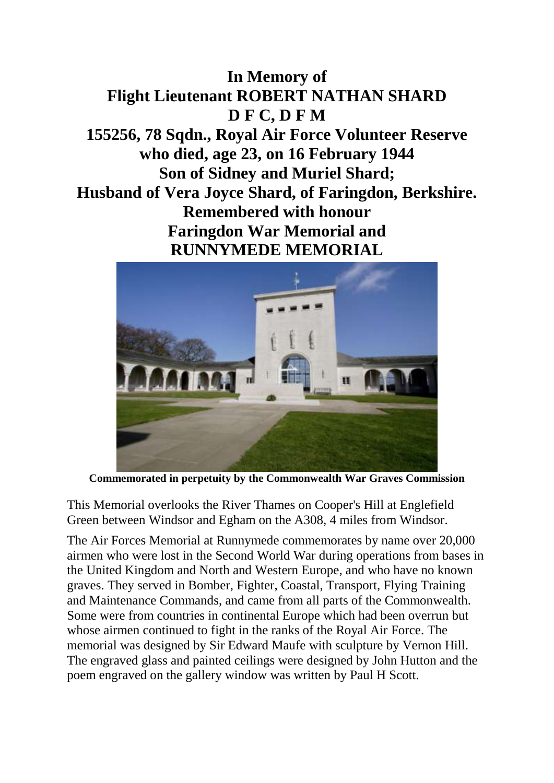



**Commemorated in perpetuity by the Commonwealth War Graves Commission** 

This Memorial overlooks the River Thames on Cooper's Hill at Englefield Green between Windsor and Egham on the A308, 4 miles from Windsor.

The Air Forces Memorial at Runnymede commemorates by name over 20,000 airmen who were lost in the Second World War during operations from bases in the United Kingdom and North and Western Europe, and who have no known graves. They served in Bomber, Fighter, Coastal, Transport, Flying Training and Maintenance Commands, and came from all parts of the Commonwealth. Some were from countries in continental Europe which had been overrun but whose airmen continued to fight in the ranks of the Royal Air Force. The memorial was designed by Sir Edward Maufe with sculpture by Vernon Hill. The engraved glass and painted ceilings were designed by John Hutton and the poem engraved on the gallery window was written by Paul H Scott.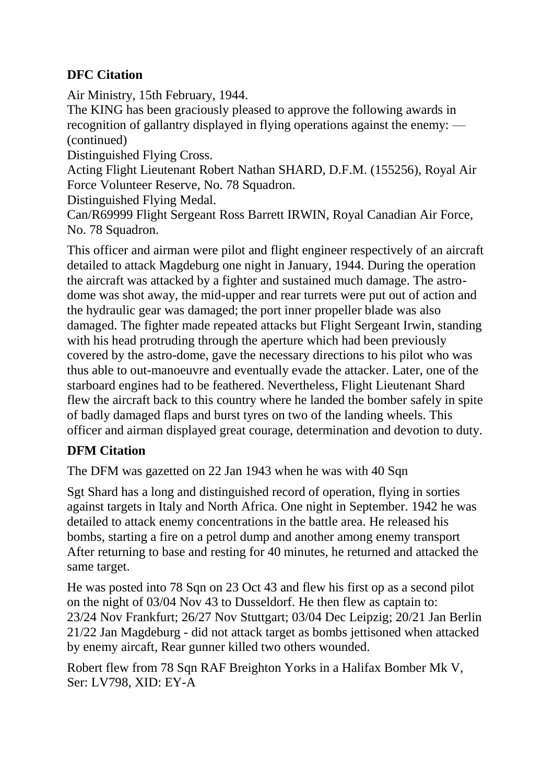## **DFC Citation**

Air Ministry, 15th February, 1944.

The KING has been graciously pleased to approve the following awards in recognition of gallantry displayed in flying operations against the enemy: — (continued)

Distinguished Flying Cross.

Acting Flight Lieutenant Robert Nathan SHARD, D.F.M. (155256), Royal Air Force Volunteer Reserve, No. 78 Squadron.

Distinguished Flying Medal.

Can/R69999 Flight Sergeant Ross Barrett IRWIN, Royal Canadian Air Force, No. 78 Squadron.

This officer and airman were pilot and flight engineer respectively of an aircraft detailed to attack Magdeburg one night in January, 1944. During the operation the aircraft was attacked by a fighter and sustained much damage. The astrodome was shot away, the mid-upper and rear turrets were put out of action and the hydraulic gear was damaged; the port inner propeller blade was also damaged. The fighter made repeated attacks but Flight Sergeant Irwin, standing with his head protruding through the aperture which had been previously covered by the astro-dome, gave the necessary directions to his pilot who was thus able to out-manoeuvre and eventually evade the attacker. Later, one of the starboard engines had to be feathered. Nevertheless, Flight Lieutenant Shard flew the aircraft back to this country where he landed the bomber safely in spite of badly damaged flaps and burst tyres on two of the landing wheels. This officer and airman displayed great courage, determination and devotion to duty.

## **DFM Citation**

The DFM was gazetted on 22 Jan 1943 when he was with 40 Sqn

Sgt Shard has a long and distinguished record of operation, flying in sorties against targets in Italy and North Africa. One night in September. 1942 he was detailed to attack enemy concentrations in the battle area. He released his bombs, starting a fire on a petrol dump and another among enemy transport After returning to base and resting for 40 minutes, he returned and attacked the same target.

He was posted into 78 Sqn on 23 Oct 43 and flew his first op as a second pilot on the night of 03/04 Nov 43 to Dusseldorf. He then flew as captain to: 23/24 Nov Frankfurt; 26/27 Nov Stuttgart; 03/04 Dec Leipzig; 20/21 Jan Berlin 21/22 Jan Magdeburg - did not attack target as bombs jettisoned when attacked by enemy aircaft, Rear gunner killed two others wounded.

Robert flew from 78 Sqn RAF Breighton Yorks in a Halifax Bomber Mk V, Ser: LV798, XID: EY-A